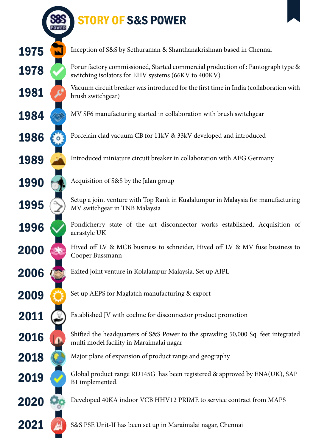## STORY OF S&S POWER





Inception of S&S by Sethuraman & Shanthanakrishnan based in Chennai

Porur factory commissioned, Started commercial production of : Pantograph type & switching isolators for EHV systems (66KV to 400KV)

Vacuum circuit breaker was introduced for the first time in India (collaboration with brush switchgear)

MV SF6 manufacturing started in collaboration with brush switchgear

Porcelain clad vacuum CB for 11kV & 33kV developed and introduced

Introduced miniature circuit breaker in collaboration with AEG Germany

Acquisition of S&S by the Jalan group

Setup a joint venture with Top Rank in Kualalumpur in Malaysia for manufacturing MV switchgear in TNB Malaysia

Pondicherry state of the art disconnector works established, Acquisition of acrastyle UK

Hived off LV & MCB business to schneider, Hived off LV & MV fuse business to Cooper Bussmann

Exited joint venture in Kolalampur Malaysia, Set up AIPL

Set up AEPS for Maglatch manufacturing & export

Established JV with coelme for disconnector product promotion

Shifted the headquarters of S&S Power to the sprawling 50,000 Sq. feet integrated multi model facility in Maraimalai nagar

Major plans of expansion of product range and geography

Global product range RD145G has been registered & approved by ENA(UK), SAP B1 implemented.

Developed 40KA indoor VCB HHV12 PRIME to service contract from MAPS

S&S PSE Unit-II has been set up in Maraimalai nagar, Chennai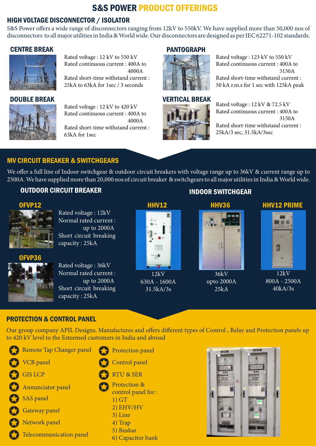## S&S POWER PRODUCT OFFERINGS

#### HIGH VOLTAGE DISCONNECTOR / ISOLATOR

S&S Power offers a wide range of disconnectors ranging from 12kV to 550kV. We have supplied more than 50,000 nos of disconnectors to all major utilities in India & World wide. Our disconnectors are designed as per IEC 62271-102 standards.

#### CENTRE BREAK



Rated voltage : 12 kV to 550 kV Rated continuous current : 400A to 4000A Rated short-time withstand current :

25kA to 63kA for 1sec / 3 seconds

#### DOUBLE BREAK



Rated voltage : 12 kV to 420 kV Rated continuous current : 400A to 4000A Rated short-time withstand current : 63kA for 1sec

#### **PANTOGRAPH**



Rated voltage : 123 kV to 550 kV Rated continuous current : 400A to 3150A Rated short-time withstand current : 50 kA r.m.s for 1 sec with 125kA peak

# VERTICAL BREAK

Rated voltage : 12 kV & 72.5 kV Rated continuous current : 400A to 3150A

Rated short-time withstand current : 25kA/3 sec, 31.5kA/3sec

#### MV CIRCUIT BREAKER & SWITCHGEARS

We offer a full line of Indoor switchgear & outdoor circuit breakers with voltage range up to 36kV & current range up to 2500A. We have supplied more than 20,000 nos of circuit breaker & switchgears to all major utilities in India & World wide.

#### OUTDOOR CIRCUIT BREAKER INDOOR SWITCHGEAR



Rated voltage : 12kV Normal rated current : up to 2000A Short circuit breaking capacity : 25kA

OFVP36

Rated voltage : 36kV Normal rated current : up to 2000A Short circuit breaking capacity : 25kA



 $12kV$ 630A - 1600A 31.5kA/3s



36kV upto 2000A  $25kA$ 

Ĥ

#### HHV12 HHV36 HHV12 PRIME



12kV 800A - 2500A 40kA/3s

#### PROTECTION & CONTROL PANEL

Our group company APIL Designs, Manufactures and offers different types of Control , Relay and Protection panels up to 420 kV level to the Esteemed customers in India and abroad

Remote Tap Changer panel VCB panel GIS LCP Annunciator panel SAS panel Gateway panel Network panel Telecommunication panel

- Protection panel
- Control panel
- RTU & SER
- Protection &
- control panel for :
- 1) GT
- 2) EHV/HV
- 3) Line
- 4) Trap
- 5) Busbar
- 6) Capacitor bank

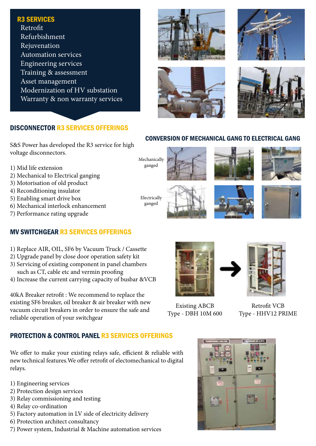#### R3 SERVICES

 Retrofit Refurbishment Rejuvenation Automation services Engineering services Training & assessment Asset management Modernization of HV substation Warranty & non warranty services

#### DISCONNECTOR R3 SERVICES OFFERINGS

S&S Power has developed the R3 service for high voltage disconnectors.

- 1) Mid life extension
- 2) Mechanical to Electrical ganging
- 3) Motorisation of old product
- 4) Reconditioning insulator
- 5) Enabling smart drive box
- 6) Mechanical interlock enhancement
- 7) Performance rating upgrade

#### MV SWITCHGEAR R3 SERVICES OFFERINGS

- 1) Replace AIR, OIL, SF6 by Vacuum Truck / Cassette
- 2) Upgrade panel by close door operation safety kit
- 3) Servicing of existing component in panel chambers such as CT, cable etc and vermin proofing
- 4) Increase the current carrying capacity of busbar &VCB

40kA Breaker retrofit : We recommend to replace the existing SF6 breaker, oil breaker & air breaker with new vacuum circuit breakers in order to ensure the safe and reliable operation of your switchgear

#### PROTECTION & CONTROL PANEL R3 SERVICES OFFERINGS

We offer to make your existing relays safe, efficient & reliable with new technical features.We offer retrofit of electomechanical to digital relays.

- 1) Engineering services
- 2) Protection design services
- 3) Relay commissioning and testing
- 4) Relay co-ordination
- 5) Factory automation in LV side of electricity delivery
- 6) Protection architect consultancy
- 7) Power system, Industrial & Machine automation services









#### CONVERSION OF MECHANICAL GANG TO ELECTRICAL GANG

Mechanically ganged

ganged

















Retrofit VCB Type - HHV12 PRIME